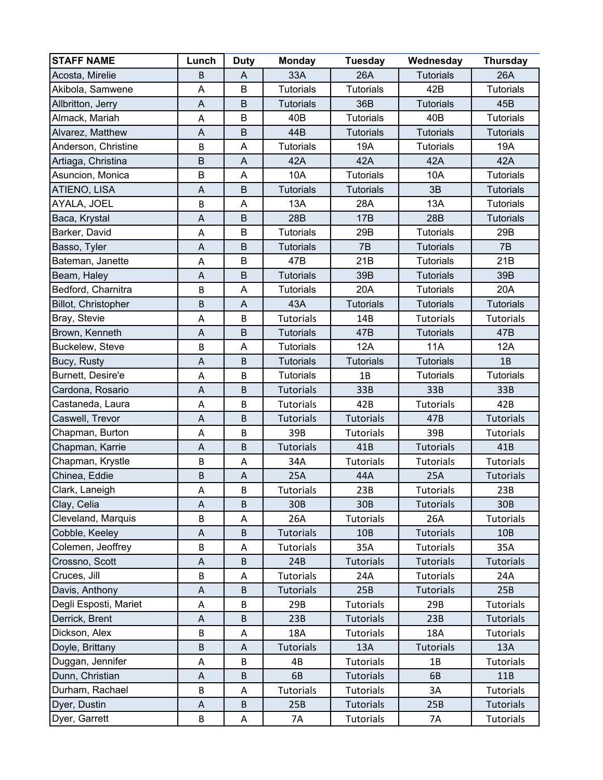| <b>STAFF NAME</b>     | Lunch                     | <b>Duty</b>               | <b>Monday</b>    | <b>Tuesday</b>   | Wednesday        | <b>Thursday</b>  |
|-----------------------|---------------------------|---------------------------|------------------|------------------|------------------|------------------|
| Acosta, Mirelie       | B                         | $\overline{A}$            | 33A              | 26A              | <b>Tutorials</b> | 26A              |
| Akibola, Samwene      | A                         | $\sf B$                   | <b>Tutorials</b> | <b>Tutorials</b> | 42B              | <b>Tutorials</b> |
| Allbritton, Jerry     | A                         | B                         | <b>Tutorials</b> | 36B              | <b>Tutorials</b> | 45B              |
| Almack, Mariah        | A                         | B                         | 40B              | <b>Tutorials</b> | 40B              | <b>Tutorials</b> |
| Alvarez, Matthew      | A                         | B                         | 44B              | <b>Tutorials</b> | <b>Tutorials</b> | <b>Tutorials</b> |
| Anderson, Christine   | B                         | A                         | <b>Tutorials</b> | 19A              | <b>Tutorials</b> | 19A              |
| Artiaga, Christina    | $\mathsf B$               | A                         | 42A              | 42A              | 42A              | 42A              |
| Asuncion, Monica      | B                         | A                         | 10A              | <b>Tutorials</b> | 10A              | <b>Tutorials</b> |
| ATIENO, LISA          | A                         | B                         | <b>Tutorials</b> | <b>Tutorials</b> | 3B               | <b>Tutorials</b> |
| AYALA, JOEL           | B                         | A                         | 13A              | 28A              | 13A              | <b>Tutorials</b> |
| Baca, Krystal         | $\boldsymbol{\mathsf{A}}$ | B                         | 28B              | <b>17B</b>       | 28B              | <b>Tutorials</b> |
| Barker, David         | A                         | $\sf B$                   | <b>Tutorials</b> | 29B              | <b>Tutorials</b> | 29B              |
| Basso, Tyler          | $\boldsymbol{\mathsf{A}}$ | B                         | <b>Tutorials</b> | 7B               | <b>Tutorials</b> | 7B               |
| Bateman, Janette      | $\boldsymbol{\mathsf{A}}$ | $\sf B$                   | 47B              | 21B              | <b>Tutorials</b> | 21B              |
| Beam, Haley           | A                         | B                         | <b>Tutorials</b> | 39B              | <b>Tutorials</b> | 39B              |
| Bedford, Charnitra    | B                         | A                         | <b>Tutorials</b> | 20A              | <b>Tutorials</b> | 20A              |
| Billot, Christopher   | B                         | A                         | 43A              | <b>Tutorials</b> | <b>Tutorials</b> | <b>Tutorials</b> |
| Bray, Stevie          | A                         | B                         | <b>Tutorials</b> | 14B              | <b>Tutorials</b> | <b>Tutorials</b> |
| Brown, Kenneth        | $\mathsf A$               | B                         | <b>Tutorials</b> | 47B              | <b>Tutorials</b> | 47B              |
| Buckelew, Steve       | B                         | A                         | <b>Tutorials</b> | 12A              | <b>11A</b>       | 12A              |
| Bucy, Rusty           | A                         | $\sf B$                   | <b>Tutorials</b> | <b>Tutorials</b> | <b>Tutorials</b> | 1B               |
| Burnett, Desire'e     | A                         | B                         | <b>Tutorials</b> | 1B               | <b>Tutorials</b> | <b>Tutorials</b> |
| Cardona, Rosario      | $\boldsymbol{\mathsf{A}}$ | B                         | <b>Tutorials</b> | 33B              | 33B              | 33B              |
| Castaneda, Laura      | A                         | B                         | <b>Tutorials</b> | 42B              | <b>Tutorials</b> | 42B              |
| Caswell, Trevor       | $\boldsymbol{\mathsf{A}}$ | B                         | <b>Tutorials</b> | <b>Tutorials</b> | 47B              | <b>Tutorials</b> |
| Chapman, Burton       | A                         | B                         | 39B              | <b>Tutorials</b> | 39B              | Tutorials        |
| Chapman, Karrie       | A                         | B                         | <b>Tutorials</b> | 41B              | Tutorials        | 41B              |
| Chapman, Krystle      | B                         | A                         | 34A              | <b>Tutorials</b> | <b>Tutorials</b> | <b>Tutorials</b> |
| Chinea, Eddie         | B                         | $\boldsymbol{\mathsf{A}}$ | 25A              | 44A              | 25A              | <b>Tutorials</b> |
| Clark, Laneigh        | A                         | B                         | <b>Tutorials</b> | 23B              | <b>Tutorials</b> | 23B              |
| Clay, Celia           | A                         | B                         | 30B              | 30B              | <b>Tutorials</b> | 30 <sub>B</sub>  |
| Cleveland, Marquis    | B                         | А                         | 26A              | <b>Tutorials</b> | 26A              | <b>Tutorials</b> |
| Cobble, Keeley        | $\mathsf A$               | B                         | <b>Tutorials</b> | 10B              | <b>Tutorials</b> | 10 <sub>B</sub>  |
| Colemen, Jeoffrey     | B                         | Α                         | <b>Tutorials</b> | 35A              | <b>Tutorials</b> | 35A              |
| Crossno, Scott        | A                         | B                         | 24B              | <b>Tutorials</b> | <b>Tutorials</b> | <b>Tutorials</b> |
| Cruces, Jill          | B                         | Α                         | <b>Tutorials</b> | 24A              | <b>Tutorials</b> | 24A              |
| Davis, Anthony        | A                         | B                         | <b>Tutorials</b> | 25B              | <b>Tutorials</b> | 25B              |
| Degli Esposti, Mariet | A                         | B                         | 29B              | <b>Tutorials</b> | 29B              | Tutorials        |
| Derrick, Brent        | $\mathsf A$               | B                         | 23B              | <b>Tutorials</b> | 23B              | <b>Tutorials</b> |
| Dickson, Alex         | B                         | Α                         | 18A              | <b>Tutorials</b> | 18A              | <b>Tutorials</b> |
| Doyle, Brittany       | B                         | A                         | <b>Tutorials</b> | 13A              | <b>Tutorials</b> | 13A              |
| Duggan, Jennifer      | A                         | B                         | 4B               | Tutorials        | 1B               | Tutorials        |
| Dunn, Christian       | A                         | B                         | 6B               | <b>Tutorials</b> | 6B               | 11B              |
| Durham, Rachael       | B                         | A                         | <b>Tutorials</b> | Tutorials        | 3A               | <b>Tutorials</b> |
| Dyer, Dustin          | A                         | B                         | 25B              | <b>Tutorials</b> | 25B              | <b>Tutorials</b> |
| Dyer, Garrett         | B                         | $\mathsf A$               | 7A               | Tutorials        | 7A               | Tutorials        |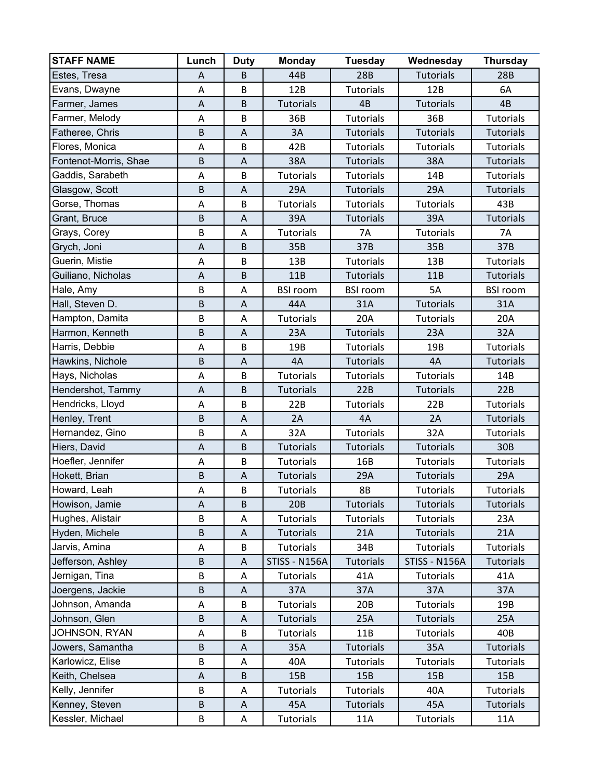| <b>STAFF NAME</b>     | Lunch          | <b>Duty</b>               | <b>Monday</b>        | <b>Tuesday</b>   | Wednesday        | <b>Thursday</b>  |
|-----------------------|----------------|---------------------------|----------------------|------------------|------------------|------------------|
| Estes, Tresa          | A              | B                         | 44B                  | <b>28B</b>       | <b>Tutorials</b> | 28B              |
| Evans, Dwayne         | A              | B                         | 12B                  | <b>Tutorials</b> | 12B              | 6A               |
| Farmer, James         | A              | $\sf B$                   | <b>Tutorials</b>     | 4B               | <b>Tutorials</b> | 4B               |
| Farmer, Melody        | A              | B                         | 36B                  | <b>Tutorials</b> | 36B              | <b>Tutorials</b> |
| Fatheree, Chris       | B              | A                         | 3A                   | <b>Tutorials</b> | <b>Tutorials</b> | <b>Tutorials</b> |
| Flores, Monica        | A              | B                         | 42B                  | <b>Tutorials</b> | <b>Tutorials</b> | <b>Tutorials</b> |
| Fontenot-Morris, Shae | $\sf B$        | $\sf A$                   | 38A                  | <b>Tutorials</b> | 38A              | <b>Tutorials</b> |
| Gaddis, Sarabeth      | A              | B                         | <b>Tutorials</b>     | Tutorials        | 14B              | <b>Tutorials</b> |
| Glasgow, Scott        | $\mathsf B$    | $\boldsymbol{\mathsf{A}}$ | 29A                  | <b>Tutorials</b> | 29A              | <b>Tutorials</b> |
| Gorse, Thomas         | A              | B                         | <b>Tutorials</b>     | Tutorials        | <b>Tutorials</b> | 43B              |
| Grant, Bruce          | B              | A                         | 39A                  | <b>Tutorials</b> | 39A              | <b>Tutorials</b> |
| Grays, Corey          | B              | A                         | <b>Tutorials</b>     | 7A               | <b>Tutorials</b> | 7A               |
| Grych, Joni           | $\overline{A}$ | B                         | 35B                  | 37B              | 35B              | 37B              |
| Guerin, Mistie        | Α              | B                         | 13B                  | <b>Tutorials</b> | 13B              | Tutorials        |
| Guiliano, Nicholas    | A              | B                         | 11B                  | <b>Tutorials</b> | 11B              | <b>Tutorials</b> |
| Hale, Amy             | B              | A                         | <b>BSI room</b>      | <b>BSI room</b>  | 5A               | <b>BSI room</b>  |
| Hall, Steven D.       | $\sf B$        | A                         | 44A                  | 31A              | <b>Tutorials</b> | 31A              |
| Hampton, Damita       | B              | A                         | <b>Tutorials</b>     | 20A              | <b>Tutorials</b> | 20A              |
| Harmon, Kenneth       | B              | A                         | 23A                  | <b>Tutorials</b> | 23A              | 32A              |
| Harris, Debbie        | Α              | B                         | 19B                  | <b>Tutorials</b> | 19B              | <b>Tutorials</b> |
| Hawkins, Nichole      | $\mathsf B$    | $\boldsymbol{\mathsf{A}}$ | 4A                   | <b>Tutorials</b> | 4A               | <b>Tutorials</b> |
| Hays, Nicholas        | A              | B                         | <b>Tutorials</b>     | Tutorials        | <b>Tutorials</b> | 14B              |
| Hendershot, Tammy     | A              | B                         | <b>Tutorials</b>     | 22B              | <b>Tutorials</b> | 22B              |
| Hendricks, Lloyd      | Α              | B                         | 22B                  | <b>Tutorials</b> | 22B              | <b>Tutorials</b> |
| Henley, Trent         | B              | A                         | 2A                   | 4A               | 2A               | <b>Tutorials</b> |
| Hernandez, Gino       | B              | A                         | 32A                  | <b>Tutorials</b> | 32A              | <b>Tutorials</b> |
| Hiers, David          | A              | $\sf B$                   | <b>Tutorials</b>     | <b>Tutorials</b> | <b>Tutorials</b> | 30B              |
| Hoefler, Jennifer     | A              | B                         | <b>Tutorials</b>     | 16B              | <b>Tutorials</b> | <b>Tutorials</b> |
| Hokett, Brian         | $\sf B$        | A                         | <b>Tutorials</b>     | 29A              | <b>Tutorials</b> | 29A              |
| Howard, Leah          | A              | B                         | <b>Tutorials</b>     | <b>8B</b>        | <b>Tutorials</b> | <b>Tutorials</b> |
| Howison, Jamie        | Α              | B                         | 20B                  | <b>Tutorials</b> | <b>Tutorials</b> | <b>Tutorials</b> |
| Hughes, Alistair      | B              | A                         | <b>Tutorials</b>     | <b>Tutorials</b> | <b>Tutorials</b> | 23A              |
| Hyden, Michele        | $\sf B$        | Α                         | <b>Tutorials</b>     | 21A              | <b>Tutorials</b> | 21A              |
| Jarvis, Amina         | A              | B                         | Tutorials            | 34B              | <b>Tutorials</b> | Tutorials        |
| Jefferson, Ashley     | $\sf B$        | A                         | <b>STISS - N156A</b> | <b>Tutorials</b> | STISS - N156A    | <b>Tutorials</b> |
| Jernigan, Tina        | B              | Α                         | <b>Tutorials</b>     | 41A              | <b>Tutorials</b> | 41A              |
| Joergens, Jackie      | $\sf B$        | A                         | 37A                  | 37A              | 37A              | 37A              |
| Johnson, Amanda       | А              | B                         | <b>Tutorials</b>     | 20B              | <b>Tutorials</b> | 19B              |
| Johnson, Glen         | $\sf B$        | Α                         | <b>Tutorials</b>     | 25A              | <b>Tutorials</b> | 25A              |
| JOHNSON, RYAN         | A              | B                         | Tutorials            | 11B              | <b>Tutorials</b> | 40B              |
| Jowers, Samantha      | $\sf B$        | A                         | 35A                  | <b>Tutorials</b> | 35A              | Tutorials        |
| Karlowicz, Elise      | B              | A                         | 40A                  | <b>Tutorials</b> | <b>Tutorials</b> | <b>Tutorials</b> |
| Keith, Chelsea        | A              | B                         | 15B                  | 15B              | 15B              | 15B              |
| Kelly, Jennifer       | B              | A                         | <b>Tutorials</b>     | <b>Tutorials</b> | 40A              | Tutorials        |
| Kenney, Steven        | $\sf B$        | Α                         | 45A                  | <b>Tutorials</b> | 45A              | <b>Tutorials</b> |
| Kessler, Michael      | $\sf B$        | A                         | Tutorials            | 11A              | Tutorials        | 11A              |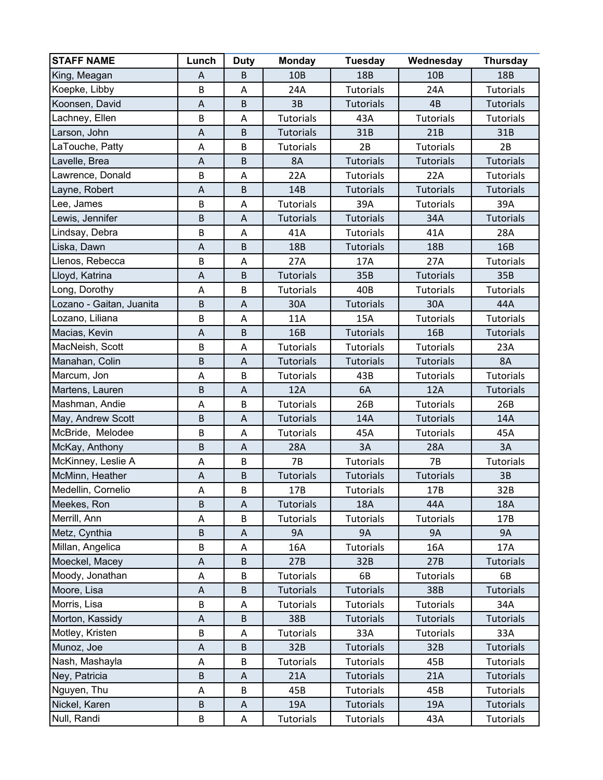| <b>STAFF NAME</b>               | Lunch                     | <b>Duty</b>               | <b>Monday</b>    | <b>Tuesday</b>                       | Wednesday        | <b>Thursday</b>               |
|---------------------------------|---------------------------|---------------------------|------------------|--------------------------------------|------------------|-------------------------------|
| King, Meagan                    | A                         | B                         | 10B              | 18B                                  | 10B              | <b>18B</b>                    |
| Koepke, Libby                   | B                         | A                         | 24A              | <b>Tutorials</b>                     | 24A              | <b>Tutorials</b>              |
| Koonsen, David                  | $\boldsymbol{\mathsf{A}}$ | B                         | 3B               | <b>Tutorials</b>                     | 4B               | <b>Tutorials</b>              |
| Lachney, Ellen                  | B                         | A                         | <b>Tutorials</b> | 43A                                  | <b>Tutorials</b> | <b>Tutorials</b>              |
| Larson, John                    | A                         | B                         | <b>Tutorials</b> | 31B                                  | 21B              | 31B                           |
| LaTouche, Patty                 | A                         | B                         | <b>Tutorials</b> | 2B                                   | <b>Tutorials</b> | 2B                            |
| Lavelle, Brea                   | $\mathsf A$               | B                         | 8A               | <b>Tutorials</b>                     | <b>Tutorials</b> | <b>Tutorials</b>              |
| Lawrence, Donald                | B                         | A                         | 22A              | <b>Tutorials</b>                     | 22A              | <b>Tutorials</b>              |
| Layne, Robert                   | A                         | B                         | 14B              | <b>Tutorials</b>                     | <b>Tutorials</b> | <b>Tutorials</b>              |
| Lee, James                      | B                         | A                         | <b>Tutorials</b> | 39A                                  | <b>Tutorials</b> | 39A                           |
| Lewis, Jennifer                 | B                         | A                         | <b>Tutorials</b> | <b>Tutorials</b>                     | 34A              | <b>Tutorials</b>              |
| Lindsay, Debra                  | B                         | A                         | 41A              | <b>Tutorials</b>                     | 41A              | 28A                           |
| Liska, Dawn                     | $\boldsymbol{\mathsf{A}}$ | B                         | <b>18B</b>       | <b>Tutorials</b>                     | <b>18B</b>       | 16B                           |
| Llenos, Rebecca                 | B                         | А                         | 27A              | 17A                                  | 27A              | <b>Tutorials</b>              |
| Lloyd, Katrina                  | A                         | $\sf B$                   | <b>Tutorials</b> | 35B                                  | <b>Tutorials</b> | 35B                           |
| Long, Dorothy                   | Α                         | B                         | <b>Tutorials</b> | 40B                                  | <b>Tutorials</b> | <b>Tutorials</b>              |
| Lozano - Gaitan, Juanita        | $\sf B$                   | $\boldsymbol{\mathsf{A}}$ | 30A              | <b>Tutorials</b>                     | 30A              | 44A                           |
| Lozano, Liliana                 | B                         | A                         | <b>11A</b>       | 15A                                  | <b>Tutorials</b> | <b>Tutorials</b>              |
| Macias, Kevin                   | A                         | $\sf B$                   | 16B              | <b>Tutorials</b>                     | 16B              | <b>Tutorials</b>              |
| MacNeish, Scott                 | B                         | A                         | <b>Tutorials</b> | Tutorials                            | <b>Tutorials</b> | 23A                           |
| Manahan, Colin                  | $\mathsf B$               | $\boldsymbol{\mathsf{A}}$ | <b>Tutorials</b> | <b>Tutorials</b>                     | <b>Tutorials</b> | 8A                            |
| Marcum, Jon                     | A                         | B                         | <b>Tutorials</b> | 43B                                  | <b>Tutorials</b> | <b>Tutorials</b>              |
| Martens, Lauren                 | B                         | A                         | <b>12A</b>       | 6A                                   | 12A              | <b>Tutorials</b>              |
| Mashman, Andie                  | A                         | B                         | <b>Tutorials</b> | 26B                                  | <b>Tutorials</b> | 26B                           |
| May, Andrew Scott               | B                         | A                         | <b>Tutorials</b> | 14A                                  | <b>Tutorials</b> | 14A                           |
| McBride, Melodee                | B                         | А                         | <b>Tutorials</b> | 45A                                  | <b>Tutorials</b> | 45A                           |
| McKay, Anthony                  | $\mathsf B$               | A                         | 28A              | 3A                                   | 28A              | 3A                            |
| McKinney, Leslie A              | Α                         | B                         | <b>7B</b>        | <b>Tutorials</b>                     | <b>7B</b>        | Tutorials                     |
| McMinn, Heather                 | A                         | $\sf B$                   | <b>Tutorials</b> | <b>Tutorials</b>                     | <b>Tutorials</b> | 3B                            |
| Medellin, Cornelio              | A                         | B                         | 17B              | <b>Tutorials</b>                     | 17B              | 32B                           |
| Meekes, Ron                     | $\sf B$                   | A                         | <b>Tutorials</b> | <b>18A</b>                           | 44A              | 18A                           |
| Merrill, Ann                    | A                         | B                         | <b>Tutorials</b> | Tutorials                            | <b>Tutorials</b> | 17B                           |
| Metz, Cynthia                   | $\mathsf B$               | A                         | <b>9A</b>        | <b>9A</b>                            | <b>9A</b>        | <b>9A</b>                     |
| Millan, Angelica                | B                         | A                         | 16A              | <b>Tutorials</b>                     | 16A              | 17A                           |
| Moeckel, Macey                  | A                         | B                         | 27B              | 32B                                  | 27B              | Tutorials                     |
| Moody, Jonathan                 | Α                         | B<br>B                    | Tutorials        | 6B                                   | <b>Tutorials</b> | 6B                            |
| Moore, Lisa                     | A                         |                           | <b>Tutorials</b> | <b>Tutorials</b>                     | 38B              | <b>Tutorials</b>              |
| Morris, Lisa<br>Morton, Kassidy | B                         | Α                         | <b>Tutorials</b> | <b>Tutorials</b>                     | <b>Tutorials</b> | 34A                           |
|                                 | A<br>B                    | B                         | 38B              | <b>Tutorials</b>                     | <b>Tutorials</b> | <b>Tutorials</b>              |
| Motley, Kristen<br>Munoz, Joe   |                           | A                         | Tutorials<br>32B | 33A                                  | <b>Tutorials</b> | 33A                           |
| Nash, Mashayla                  | A<br>Α                    | B<br>B                    |                  | <b>Tutorials</b><br><b>Tutorials</b> | 32B              | <b>Tutorials</b>              |
| Ney, Patricia                   | $\sf B$                   |                           | Tutorials<br>21A |                                      | 45B<br>21A       | Tutorials                     |
| Nguyen, Thu                     | A                         | A<br>B                    | 45B              | <b>Tutorials</b><br><b>Tutorials</b> | 45B              | <b>Tutorials</b><br>Tutorials |
| Nickel, Karen                   | $\sf B$                   |                           | 19A              | <b>Tutorials</b>                     | 19A              | <b>Tutorials</b>              |
| Null, Randi                     | B                         | Α                         |                  | Tutorials                            |                  |                               |
|                                 |                           | Α                         | Tutorials        |                                      | 43A              | Tutorials                     |